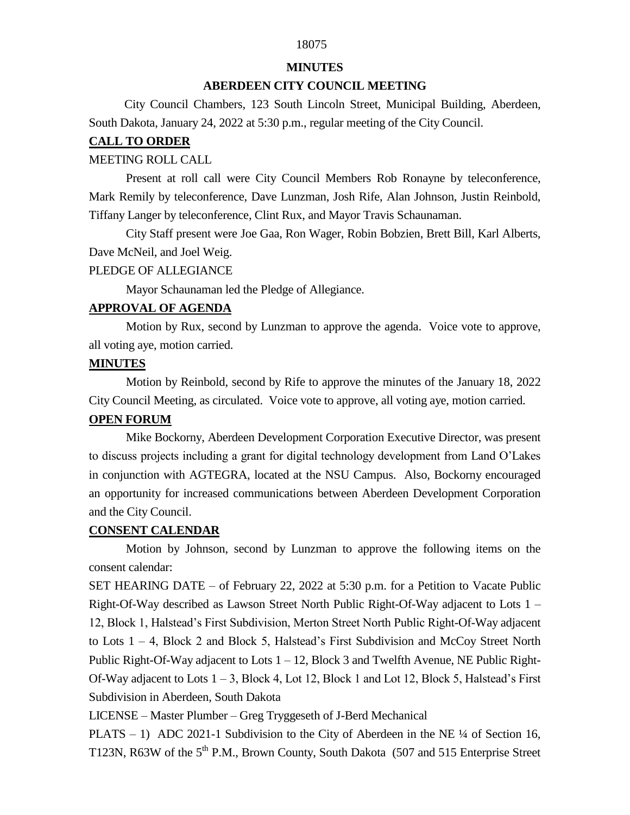# 18075

### **MINUTES**

# **ABERDEEN CITY COUNCIL MEETING**

 City Council Chambers, 123 South Lincoln Street, Municipal Building, Aberdeen, South Dakota, January 24, 2022 at 5:30 p.m., regular meeting of the City Council.

### **CALL TO ORDER**

### MEETING ROLL CALL

Present at roll call were City Council Members Rob Ronayne by teleconference, Mark Remily by teleconference, Dave Lunzman, Josh Rife, Alan Johnson, Justin Reinbold, Tiffany Langer by teleconference, Clint Rux, and Mayor Travis Schaunaman.

City Staff present were Joe Gaa, Ron Wager, Robin Bobzien, Brett Bill, Karl Alberts, Dave McNeil, and Joel Weig.

### PLEDGE OF ALLEGIANCE

Mayor Schaunaman led the Pledge of Allegiance.

# **APPROVAL OF AGENDA**

Motion by Rux, second by Lunzman to approve the agenda. Voice vote to approve, all voting aye, motion carried.

### **MINUTES**

Motion by Reinbold, second by Rife to approve the minutes of the January 18, 2022 City Council Meeting, as circulated. Voice vote to approve, all voting aye, motion carried.

# **OPEN FORUM**

Mike Bockorny, Aberdeen Development Corporation Executive Director, was present to discuss projects including a grant for digital technology development from Land O'Lakes in conjunction with AGTEGRA, located at the NSU Campus. Also, Bockorny encouraged an opportunity for increased communications between Aberdeen Development Corporation and the City Council.

# **CONSENT CALENDAR**

Motion by Johnson, second by Lunzman to approve the following items on the consent calendar:

SET HEARING DATE – of February 22, 2022 at 5:30 p.m. for a Petition to Vacate Public Right-Of-Way described as Lawson Street North Public Right-Of-Way adjacent to Lots 1 – 12, Block 1, Halstead's First Subdivision, Merton Street North Public Right-Of-Way adjacent to Lots 1 – 4, Block 2 and Block 5, Halstead's First Subdivision and McCoy Street North Public Right-Of-Way adjacent to Lots 1 – 12, Block 3 and Twelfth Avenue, NE Public Right-Of-Way adjacent to Lots 1 – 3, Block 4, Lot 12, Block 1 and Lot 12, Block 5, Halstead's First Subdivision in Aberdeen, South Dakota

LICENSE – Master Plumber – Greg Tryggeseth of J-Berd Mechanical

PLATS – 1) ADC 2021-1 Subdivision to the City of Aberdeen in the NE  $\frac{1}{4}$  of Section 16, T123N, R63W of the 5<sup>th</sup> P.M., Brown County, South Dakota (507 and 515 Enterprise Street)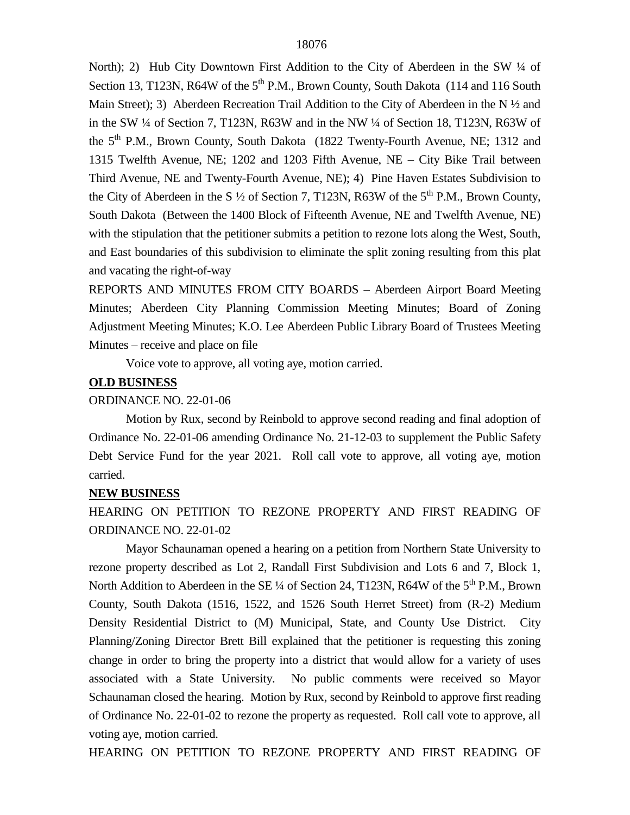North); 2) Hub City Downtown First Addition to the City of Aberdeen in the SW 1/4 of Section 13, T123N, R64W of the 5<sup>th</sup> P.M., Brown County, South Dakota (114 and 116 South Main Street); 3) Aberdeen Recreation Trail Addition to the City of Aberdeen in the N  $\frac{1}{2}$  and in the SW  $\frac{1}{4}$  of Section 7, T123N, R63W and in the NW  $\frac{1}{4}$  of Section 18, T123N, R63W of the 5<sup>th</sup> P.M., Brown County, South Dakota (1822 Twenty-Fourth Avenue, NE; 1312 and 1315 Twelfth Avenue, NE; 1202 and 1203 Fifth Avenue, NE – City Bike Trail between Third Avenue, NE and Twenty-Fourth Avenue, NE); 4) Pine Haven Estates Subdivision to the City of Aberdeen in the S  $\frac{1}{2}$  of Section 7, T123N, R63W of the 5<sup>th</sup> P.M., Brown County, South Dakota (Between the 1400 Block of Fifteenth Avenue, NE and Twelfth Avenue, NE) with the stipulation that the petitioner submits a petition to rezone lots along the West, South, and East boundaries of this subdivision to eliminate the split zoning resulting from this plat and vacating the right-of-way

REPORTS AND MINUTES FROM CITY BOARDS – Aberdeen Airport Board Meeting Minutes; Aberdeen City Planning Commission Meeting Minutes; Board of Zoning Adjustment Meeting Minutes; K.O. Lee Aberdeen Public Library Board of Trustees Meeting Minutes – receive and place on file

Voice vote to approve, all voting aye, motion carried.

#### **OLD BUSINESS**

#### ORDINANCE NO. 22-01-06

Motion by Rux, second by Reinbold to approve second reading and final adoption of Ordinance No. 22-01-06 amending Ordinance No. 21-12-03 to supplement the Public Safety Debt Service Fund for the year 2021. Roll call vote to approve, all voting aye, motion carried.

#### **NEW BUSINESS**

HEARING ON PETITION TO REZONE PROPERTY AND FIRST READING OF ORDINANCE NO. 22-01-02

Mayor Schaunaman opened a hearing on a petition from Northern State University to rezone property described as Lot 2, Randall First Subdivision and Lots 6 and 7, Block 1, North Addition to Aberdeen in the SE  $\frac{1}{4}$  of Section 24, T123N, R64W of the 5<sup>th</sup> P.M., Brown County, South Dakota (1516, 1522, and 1526 South Herret Street) from (R-2) Medium Density Residential District to (M) Municipal, State, and County Use District. City Planning/Zoning Director Brett Bill explained that the petitioner is requesting this zoning change in order to bring the property into a district that would allow for a variety of uses associated with a State University. No public comments were received so Mayor Schaunaman closed the hearing. Motion by Rux, second by Reinbold to approve first reading of Ordinance No. 22-01-02 to rezone the property as requested. Roll call vote to approve, all voting aye, motion carried.

HEARING ON PETITION TO REZONE PROPERTY AND FIRST READING OF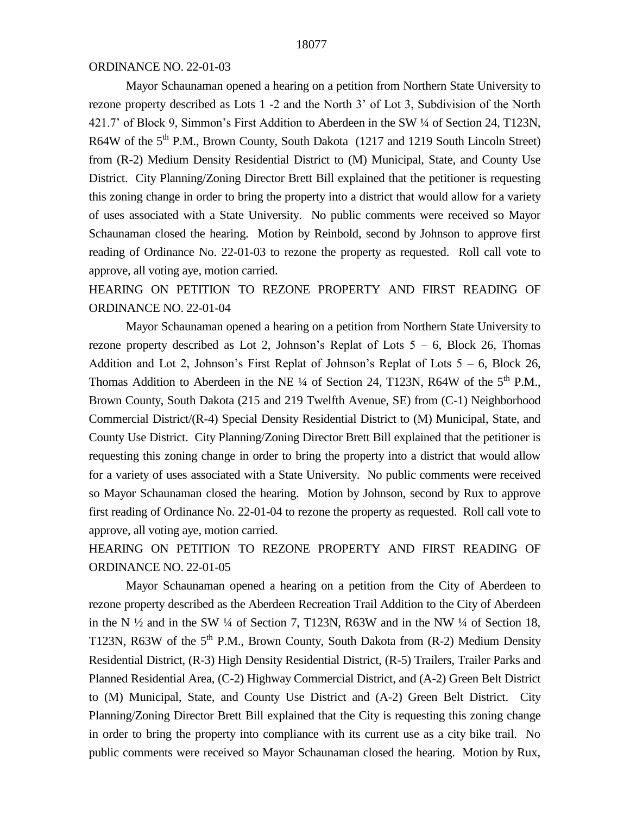# ORDINANCE NO. 22-01-03

Mayor Schaunaman opened a hearing on a petition from Northern State University to rezone property described as Lots 1 -2 and the North 3' of Lot 3, Subdivision of the North 421.7' of Block 9, Simmon's First Addition to Aberdeen in the SW ¼ of Section 24, T123N, R64W of the 5<sup>th</sup> P.M., Brown County, South Dakota (1217 and 1219 South Lincoln Street) from (R-2) Medium Density Residential District to (M) Municipal, State, and County Use District. City Planning/Zoning Director Brett Bill explained that the petitioner is requesting this zoning change in order to bring the property into a district that would allow for a variety of uses associated with a State University. No public comments were received so Mayor Schaunaman closed the hearing. Motion by Reinbold, second by Johnson to approve first reading of Ordinance No. 22-01-03 to rezone the property as requested. Roll call vote to approve, all voting aye, motion carried.

HEARING ON PETITION TO REZONE PROPERTY AND FIRST READING OF ORDINANCE NO. 22-01-04

Mayor Schaunaman opened a hearing on a petition from Northern State University to rezone property described as Lot 2, Johnson's Replat of Lots  $5 - 6$ , Block 26, Thomas Addition and Lot 2, Johnson's First Replat of Johnson's Replat of Lots 5 – 6, Block 26, Thomas Addition to Aberdeen in the NE  $\frac{1}{4}$  of Section 24, T123N, R64W of the 5<sup>th</sup> P.M., Brown County, South Dakota (215 and 219 Twelfth Avenue, SE) from (C-1) Neighborhood Commercial District/(R-4) Special Density Residential District to (M) Municipal, State, and County Use District. City Planning/Zoning Director Brett Bill explained that the petitioner is requesting this zoning change in order to bring the property into a district that would allow for a variety of uses associated with a State University. No public comments were received so Mayor Schaunaman closed the hearing. Motion by Johnson, second by Rux to approve first reading of Ordinance No. 22-01-04 to rezone the property as requested. Roll call vote to approve, all voting aye, motion carried.

HEARING ON PETITION TO REZONE PROPERTY AND FIRST READING OF ORDINANCE NO. 22-01-05

Mayor Schaunaman opened a hearing on a petition from the City of Aberdeen to rezone property described as the Aberdeen Recreation Trail Addition to the City of Aberdeen in the N ½ and in the SW ¼ of Section 7, T123N, R63W and in the NW ¼ of Section 18, T123N, R63W of the  $5<sup>th</sup>$  P.M., Brown County, South Dakota from  $(R-2)$  Medium Density Residential District, (R-3) High Density Residential District, (R-5) Trailers, Trailer Parks and Planned Residential Area, (C-2) Highway Commercial District, and (A-2) Green Belt District to (M) Municipal, State, and County Use District and (A-2) Green Belt District. City Planning/Zoning Director Brett Bill explained that the City is requesting this zoning change in order to bring the property into compliance with its current use as a city bike trail. No public comments were received so Mayor Schaunaman closed the hearing. Motion by Rux,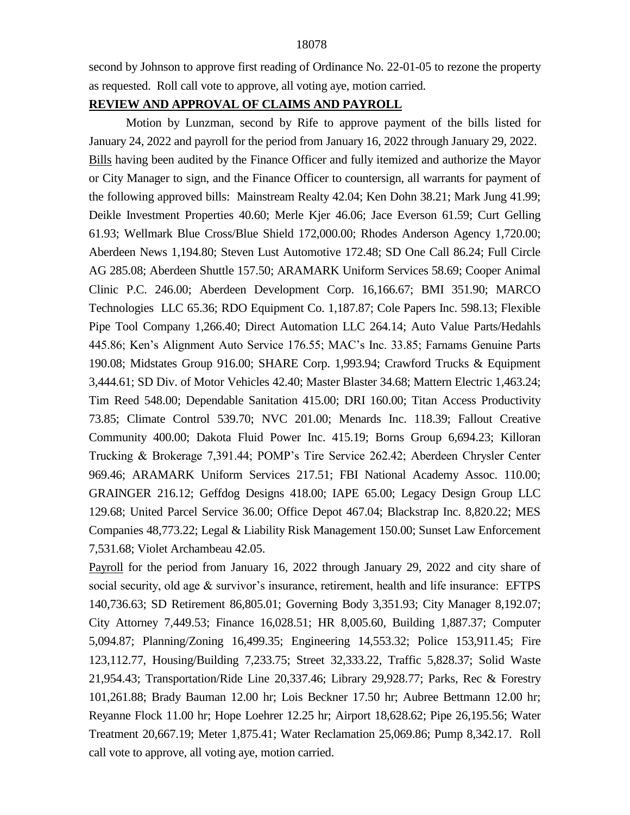second by Johnson to approve first reading of Ordinance No. 22-01-05 to rezone the property as requested. Roll call vote to approve, all voting aye, motion carried.

# **REVIEW AND APPROVAL OF CLAIMS AND PAYROLL**

Motion by Lunzman, second by Rife to approve payment of the bills listed for January 24, 2022 and payroll for the period from January 16, 2022 through January 29, 2022. Bills having been audited by the Finance Officer and fully itemized and authorize the Mayor or City Manager to sign, and the Finance Officer to countersign, all warrants for payment of the following approved bills: Mainstream Realty 42.04; Ken Dohn 38.21; Mark Jung 41.99; Deikle Investment Properties 40.60; Merle Kjer 46.06; Jace Everson 61.59; Curt Gelling 61.93; Wellmark Blue Cross/Blue Shield 172,000.00; Rhodes Anderson Agency 1,720.00; Aberdeen News 1,194.80; Steven Lust Automotive 172.48; SD One Call 86.24; Full Circle AG 285.08; Aberdeen Shuttle 157.50; ARAMARK Uniform Services 58.69; Cooper Animal Clinic P.C. 246.00; Aberdeen Development Corp. 16,166.67; BMI 351.90; MARCO Technologies LLC 65.36; RDO Equipment Co. 1,187.87; Cole Papers Inc. 598.13; Flexible Pipe Tool Company 1,266.40; Direct Automation LLC 264.14; Auto Value Parts/Hedahls 445.86; Ken's Alignment Auto Service 176.55; MAC's Inc. 33.85; Farnams Genuine Parts 190.08; Midstates Group 916.00; SHARE Corp. 1,993.94; Crawford Trucks & Equipment 3,444.61; SD Div. of Motor Vehicles 42.40; Master Blaster 34.68; Mattern Electric 1,463.24; Tim Reed 548.00; Dependable Sanitation 415.00; DRI 160.00; Titan Access Productivity 73.85; Climate Control 539.70; NVC 201.00; Menards Inc. 118.39; Fallout Creative Community 400.00; Dakota Fluid Power Inc. 415.19; Borns Group 6,694.23; Killoran Trucking & Brokerage 7,391.44; POMP's Tire Service 262.42; Aberdeen Chrysler Center 969.46; ARAMARK Uniform Services 217.51; FBI National Academy Assoc. 110.00; GRAINGER 216.12; Geffdog Designs 418.00; IAPE 65.00; Legacy Design Group LLC 129.68; United Parcel Service 36.00; Office Depot 467.04; Blackstrap Inc. 8,820.22; MES Companies 48,773.22; Legal & Liability Risk Management 150.00; Sunset Law Enforcement 7,531.68; Violet Archambeau 42.05.

Payroll for the period from January 16, 2022 through January 29, 2022 and city share of social security, old age & survivor's insurance, retirement, health and life insurance: EFTPS 140,736.63; SD Retirement 86,805.01; Governing Body 3,351.93; City Manager 8,192.07; City Attorney 7,449.53; Finance 16,028.51; HR 8,005.60, Building 1,887.37; Computer 5,094.87; Planning/Zoning 16,499.35; Engineering 14,553.32; Police 153,911.45; Fire 123,112.77, Housing/Building 7,233.75; Street 32,333.22, Traffic 5,828.37; Solid Waste 21,954.43; Transportation/Ride Line 20,337.46; Library 29,928.77; Parks, Rec & Forestry 101,261.88; Brady Bauman 12.00 hr; Lois Beckner 17.50 hr; Aubree Bettmann 12.00 hr; Reyanne Flock 11.00 hr; Hope Loehrer 12.25 hr; Airport 18,628.62; Pipe 26,195.56; Water Treatment 20,667.19; Meter 1,875.41; Water Reclamation 25,069.86; Pump 8,342.17. Roll call vote to approve, all voting aye, motion carried.